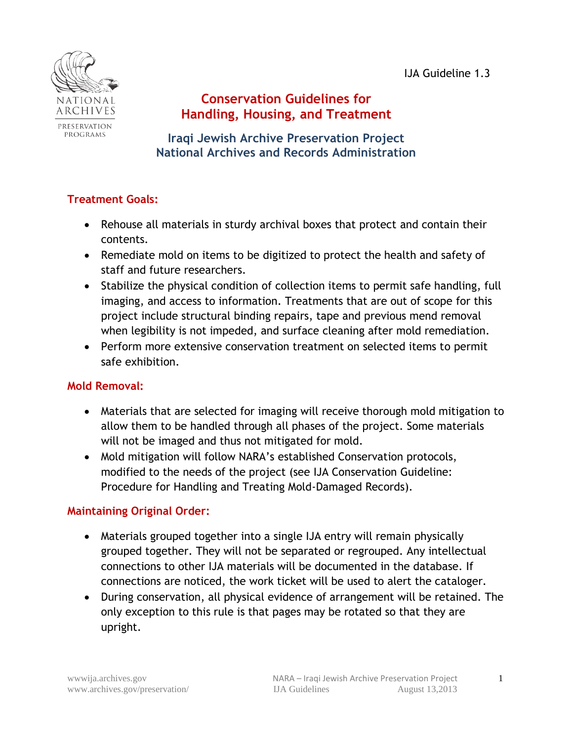IJA Guideline 1.3



# **Conservation Guidelines for Handling, Housing, and Treatment**

**Iraqi Jewish Archive Preservation Project National Archives and Records Administration**

## **Treatment Goals:**

- Rehouse all materials in sturdy archival boxes that protect and contain their contents.
- Remediate mold on items to be digitized to protect the health and safety of staff and future researchers.
- Stabilize the physical condition of collection items to permit safe handling, full imaging, and access to information. Treatments that are out of scope for this project include structural binding repairs, tape and previous mend removal when legibility is not impeded, and surface cleaning after mold remediation.
- Perform more extensive conservation treatment on selected items to permit safe exhibition.

## **Mold Removal:**

- Materials that are selected for imaging will receive thorough mold mitigation to allow them to be handled through all phases of the project. Some materials will not be imaged and thus not mitigated for mold.
- Mold mitigation will follow NARA's established Conservation protocols, modified to the needs of the project (see IJA Conservation Guideline: Procedure for Handling and Treating Mold-Damaged Records).

## **Maintaining Original Order:**

- Materials grouped together into a single IJA entry will remain physically grouped together. They will not be separated or regrouped. Any intellectual connections to other IJA materials will be documented in the database. If connections are noticed, the work ticket will be used to alert the cataloger.
- During conservation, all physical evidence of arrangement will be retained. The only exception to this rule is that pages may be rotated so that they are upright.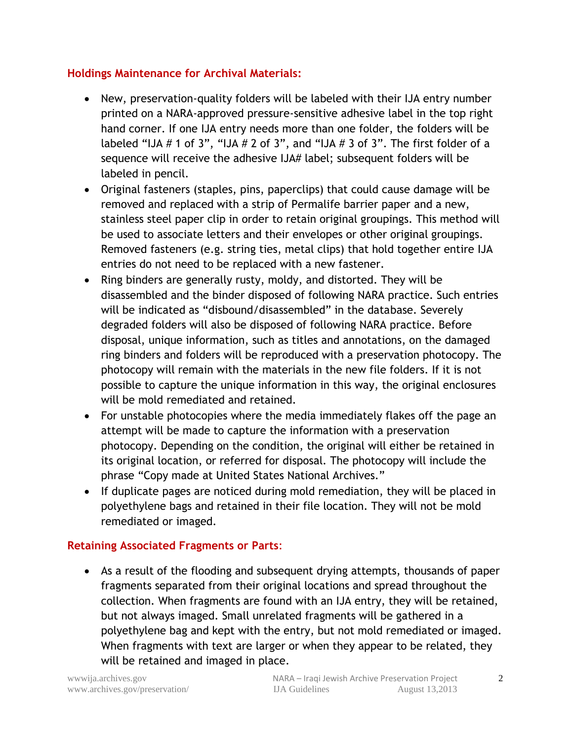#### **Holdings Maintenance for Archival Materials:**

- New, preservation-quality folders will be labeled with their IJA entry number printed on a NARA-approved pressure-sensitive adhesive label in the top right hand corner. If one IJA entry needs more than one folder, the folders will be labeled "IJA  $# 1$  of 3", "IJA  $# 2$  of 3", and "IJA  $# 3$  of 3". The first folder of a sequence will receive the adhesive IJA# label; subsequent folders will be labeled in pencil.
- Original fasteners (staples, pins, paperclips) that could cause damage will be removed and replaced with a strip of Permalife barrier paper and a new, stainless steel paper clip in order to retain original groupings. This method will be used to associate letters and their envelopes or other original groupings. Removed fasteners (e.g. string ties, metal clips) that hold together entire IJA entries do not need to be replaced with a new fastener.
- Ring binders are generally rusty, moldy, and distorted. They will be disassembled and the binder disposed of following NARA practice. Such entries will be indicated as "disbound/disassembled" in the database. Severely degraded folders will also be disposed of following NARA practice. Before disposal, unique information, such as titles and annotations, on the damaged ring binders and folders will be reproduced with a preservation photocopy. The photocopy will remain with the materials in the new file folders. If it is not possible to capture the unique information in this way, the original enclosures will be mold remediated and retained.
- For unstable photocopies where the media immediately flakes off the page an attempt will be made to capture the information with a preservation photocopy. Depending on the condition, the original will either be retained in its original location, or referred for disposal. The photocopy will include the phrase "Copy made at United States National Archives."
- If duplicate pages are noticed during mold remediation, they will be placed in polyethylene bags and retained in their file location. They will not be mold remediated or imaged.

## **Retaining Associated Fragments or Parts**:

 As a result of the flooding and subsequent drying attempts, thousands of paper fragments separated from their original locations and spread throughout the collection. When fragments are found with an IJA entry, they will be retained, but not always imaged. Small unrelated fragments will be gathered in a polyethylene bag and kept with the entry, but not mold remediated or imaged. When fragments with text are larger or when they appear to be related, they will be retained and imaged in place.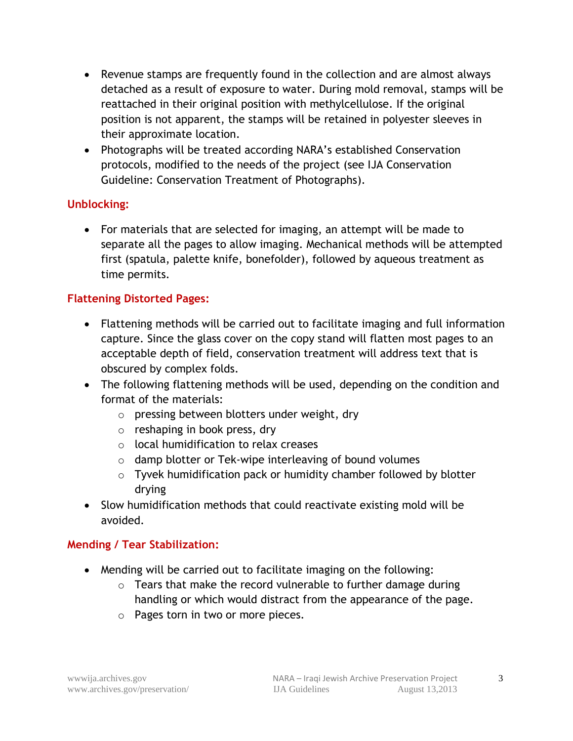- Revenue stamps are frequently found in the collection and are almost always detached as a result of exposure to water. During mold removal, stamps will be reattached in their original position with methylcellulose. If the original position is not apparent, the stamps will be retained in polyester sleeves in their approximate location.
- Photographs will be treated according NARA's established Conservation protocols, modified to the needs of the project (see IJA Conservation Guideline: Conservation Treatment of Photographs).

## **Unblocking:**

 For materials that are selected for imaging, an attempt will be made to separate all the pages to allow imaging. Mechanical methods will be attempted first (spatula, palette knife, bonefolder), followed by aqueous treatment as time permits.

## **Flattening Distorted Pages:**

- Flattening methods will be carried out to facilitate imaging and full information capture. Since the glass cover on the copy stand will flatten most pages to an acceptable depth of field, conservation treatment will address text that is obscured by complex folds.
- The following flattening methods will be used, depending on the condition and format of the materials:
	- o pressing between blotters under weight, dry
	- o reshaping in book press, dry
	- o local humidification to relax creases
	- o damp blotter or Tek-wipe interleaving of bound volumes
	- o Tyvek humidification pack or humidity chamber followed by blotter drying
- Slow humidification methods that could reactivate existing mold will be avoided.

## **Mending / Tear Stabilization:**

- Mending will be carried out to facilitate imaging on the following:
	- o Tears that make the record vulnerable to further damage during handling or which would distract from the appearance of the page.
	- o Pages torn in two or more pieces.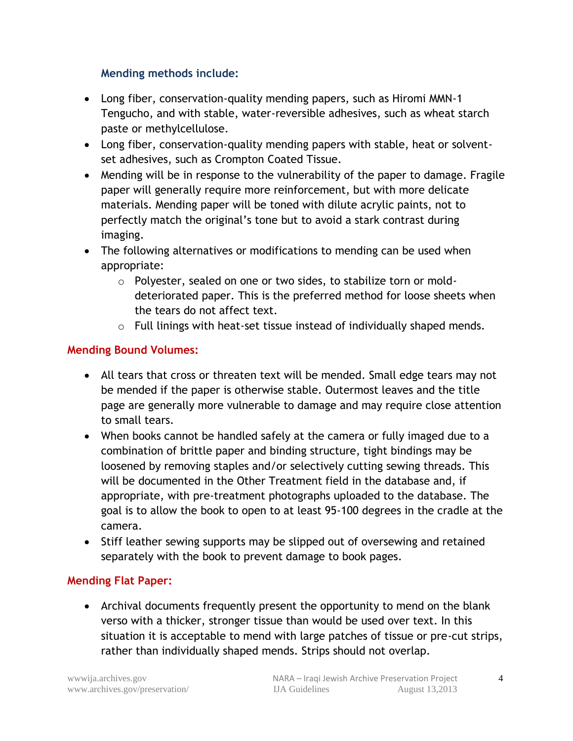## **Mending methods include:**

- Long fiber, conservation-quality mending papers, such as Hiromi MMN-1 Tengucho, and with stable, water-reversible adhesives, such as wheat starch paste or methylcellulose.
- Long fiber, conservation-quality mending papers with stable, heat or solventset adhesives, such as Crompton Coated Tissue.
- Mending will be in response to the vulnerability of the paper to damage. Fragile paper will generally require more reinforcement, but with more delicate materials. Mending paper will be toned with dilute acrylic paints, not to perfectly match the original's tone but to avoid a stark contrast during imaging.
- The following alternatives or modifications to mending can be used when appropriate:
	- o Polyester, sealed on one or two sides, to stabilize torn or molddeteriorated paper. This is the preferred method for loose sheets when the tears do not affect text.
	- o Full linings with heat-set tissue instead of individually shaped mends.

#### **Mending Bound Volumes:**

- All tears that cross or threaten text will be mended. Small edge tears may not be mended if the paper is otherwise stable. Outermost leaves and the title page are generally more vulnerable to damage and may require close attention to small tears.
- When books cannot be handled safely at the camera or fully imaged due to a combination of brittle paper and binding structure, tight bindings may be loosened by removing staples and/or selectively cutting sewing threads. This will be documented in the Other Treatment field in the database and, if appropriate, with pre-treatment photographs uploaded to the database. The goal is to allow the book to open to at least 95-100 degrees in the cradle at the camera.
- Stiff leather sewing supports may be slipped out of oversewing and retained separately with the book to prevent damage to book pages.

## **Mending Flat Paper:**

 Archival documents frequently present the opportunity to mend on the blank verso with a thicker, stronger tissue than would be used over text. In this situation it is acceptable to mend with large patches of tissue or pre-cut strips, rather than individually shaped mends. Strips should not overlap.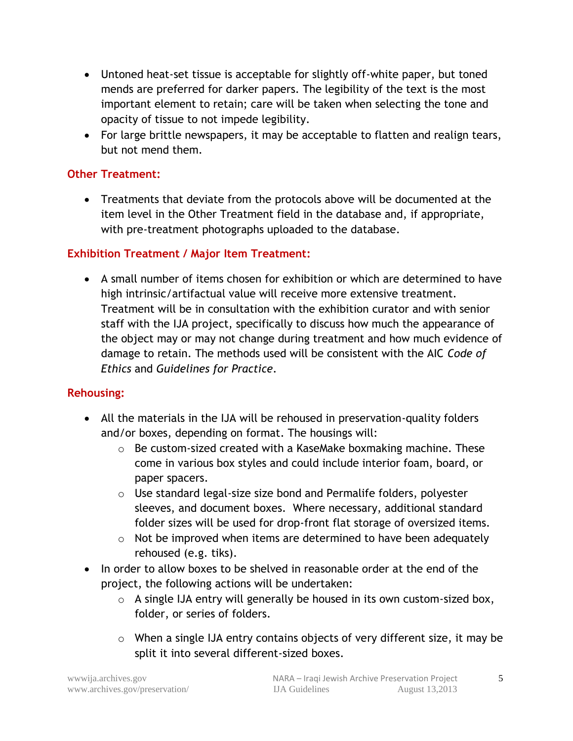- Untoned heat-set tissue is acceptable for slightly off-white paper, but toned mends are preferred for darker papers. The legibility of the text is the most important element to retain; care will be taken when selecting the tone and opacity of tissue to not impede legibility.
- For large brittle newspapers, it may be acceptable to flatten and realign tears, but not mend them.

#### **Other Treatment:**

 Treatments that deviate from the protocols above will be documented at the item level in the Other Treatment field in the database and, if appropriate, with pre-treatment photographs uploaded to the database.

#### **Exhibition Treatment / Major Item Treatment:**

 A small number of items chosen for exhibition or which are determined to have high intrinsic/artifactual value will receive more extensive treatment. Treatment will be in consultation with the exhibition curator and with senior staff with the IJA project, specifically to discuss how much the appearance of the object may or may not change during treatment and how much evidence of damage to retain. The methods used will be consistent with the AIC *Code of Ethics* and *Guidelines for Practice*.

#### **Rehousing:**

- All the materials in the IJA will be rehoused in preservation-quality folders and/or boxes, depending on format. The housings will:
	- o Be custom-sized created with a KaseMake boxmaking machine. These come in various box styles and could include interior foam, board, or paper spacers.
	- o Use standard legal-size size bond and Permalife folders, polyester sleeves, and document boxes. Where necessary, additional standard folder sizes will be used for drop-front flat storage of oversized items.
	- $\circ$  Not be improved when items are determined to have been adequately rehoused (e.g. tiks).
- In order to allow boxes to be shelved in reasonable order at the end of the project, the following actions will be undertaken:
	- o A single IJA entry will generally be housed in its own custom-sized box, folder, or series of folders.
	- o When a single IJA entry contains objects of very different size, it may be split it into several different-sized boxes.